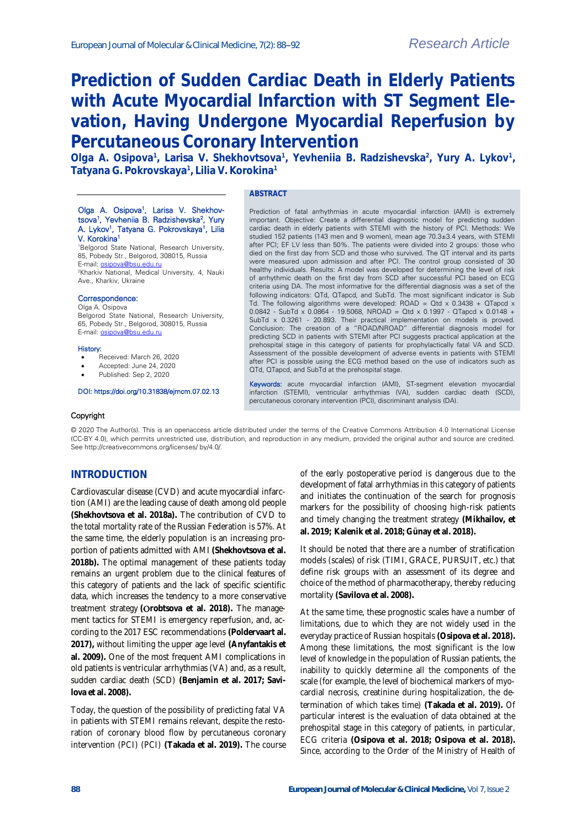# **Prediction of Sudden Cardiac Death in Elderly Patients with Acute Myocardial Infarction with ST Segment Elevation, Having Undergone Myocardial Reperfusion by Percutaneous Coronary Intervention**

Olga A. Osipova<sup>1</sup>, Larisa V. Shekhovtsova<sup>1</sup>, Yevheniia B. Radzishevska<sup>2</sup>, Yury A. Lykov<sup>1</sup>, **Tatyana G. Pokrovskaya<sup>1</sup> , Lilia V. Korokina<sup>1</sup>**

### Olga A. Osipova<sup>1</sup>, Larisa V. Shekhovtsova<sup>1</sup>, Yevheniia B. Radzishevska<sup>2</sup>, Yury A. Lykov<sup>1</sup>, Tatyana G. Pokrovskaya<sup>1</sup>, Lilia

V. Korokina<sup>1</sup> <sup>1</sup>Belgorod State National, Research University, 85, Pobedy Str., Belgorod, 308015, Russia E-mail: osipova@bsu.edu

<sup>2</sup>Kharkiv National, Medical University, 4, Nauki Ave., Kharkiv, Ukraine

#### Correspondence:

Olga A. Osipova

Belgorod State National, Research University, 65, Pobedy Str., Belgorod, 308015, Russia E-mail[: osipova@bsu.edu.ru](mailto:osipova@bsu.edu.ru)

#### History:

- Received: March 26, 2020
- Accepted: June 24, 2020
- Published: Sep 2, 2020

#### DOI: https://doi.org/10.31838/ejmcm.07.02.13

#### **ABSTRACT**

Prediction of fatal arrhythmias in acute myocardial infarction (AMI) is extremely important. Objective: Create a differential diagnostic model for predicting sudden cardiac death in elderly patients with STEMI with the history of PCI. Methods: We studied 152 patients (143 men and 9 women), mean age 70.3±3.4 years, with STEMI after PCI; EF LV less than 50%. The patients were divided into 2 groups: those who died on the first day from SCD and those who survived. The QT interval and its parts were measured upon admission and after PCI. The control group consisted of 30 healthy individuals. Results: A model was developed for determining the level of risk of arrhythmic death on the first day from SCD after successful PCI based on ECG criteria using DA. The most informative for the differential diagnosis was a set of the following indicators: QTd, QTapcd, and SubTd. The most significant indicator is Sub Td. The following algorithms were developed: ROAD = Qtd x  $0.3438 + 0$ Tapcd x 0.0842 - SubTd x 0.0864 - 19.5068, NROAD = Qtd x 0.1997 - QTapcd x 0.0148 + SubTd x 0.3261 - 20.893. Their practical implementation on models is proved. Conclusion: The creation of a "ROAD/NROAD" differential diagnosis model for predicting SCD in patients with STEMI after PCI suggests practical application at the prehospital stage in this category of patients for prophylactically fatal VA and SCD. Assessment of the possible development of adverse events in patients with STEMI after PCI is possible using the ECG method based on the use of indicators such as QTd, QTapcd, and SubTd at the prehospital stage.

Keywords: acute myocardial infarction (AMI), ST-segment elevation myocardial infarction (STEMI), ventricular arrhythmias (VA), sudden cardiac death (SCD), percutaneous coronary intervention (PCI), discriminant analysis (DA).

#### Copyright

© 2020 The Author(s). This is an openaccess article distributed under the terms of the Creative Commons Attribution 4.0 International License (CC-BY 4.0), which permits unrestricted use, distribution, and reproduction in any medium, provided the original author and source are credited. See http://creativecommons.org/licenses/ by/4.0/.

## **INTRODUCTION**

Cardiovascular disease (CVD) and acute myocardial infarction (AMI) are the leading cause of death among old people **(Shekhovtsova et al. 2018a).** The contribution of CVD to the total mortality rate of the Russian Federation is 57%. At the same time, the elderly population is an increasing proportion of patients admitted with AMI **(Shekhovtsova et al. 2018b).** The optimal management of these patients today remains an urgent problem due to the clinical features of this category of patients and the lack of specific scientific data, which increases the tendency to a more conservative treatment strategy **( robtsova et al. 2018).** The management tactics for STEMI is emergency reperfusion, and, according to the 2017 ESC recommendations **(Poldervaart al. 2017),** without limiting the upper age level **(Anyfantakis et al. 2009).** One of the most frequent AMI complications in old patients is ventricular arrhythmias (VA) and, as a result, sudden cardiac death (SCD) **(Benjamin et al. 2017; Savilova et al. 2008).**

Today, the question of the possibility of predicting fatal VA in patients with STEMI remains relevant, despite the restoration of coronary blood flow by percutaneous coronary intervention (PCI) (PCI) **(Takada et al. 2019).** The course

of the early postoperative period is dangerous due to the development of fatal arrhythmias in this category of patients and initiates the continuation of the search for prognosis markers for the possibility of choosing high-risk patients and timely changing the treatment strategy **(Mikhailov, et al. 2019; Kalenik et al. 2018; Günay et al. 2018).**

It should be noted that there are a number of stratification models (scales) of risk (TIMI, GRACE, PURSUIT, etc.) that define risk groups with an assessment of its degree and choice of the method of pharmacotherapy, thereby reducing mortality **(Savilova et al. 2008).**

At the same time, these prognostic scales have a number of limitations, due to which they are not widely used in the everyday practice of Russian hospitals **(Osipova et al. 2018).** Among these limitations, the most significant is the low level of knowledge in the population of Russian patients, the inability to quickly determine all the components of the scale (for example, the level of biochemical markers of myocardial necrosis, creatinine during hospitalization, the determination of which takes time) **(Takada et al. 2019).** Of particular interest is the evaluation of data obtained at the prehospital stage in this category of patients, in particular, ECG criteria **(Osipova et al. 2018; Osipova et al. 2018).**  Since, according to the Order of the Ministry of Health of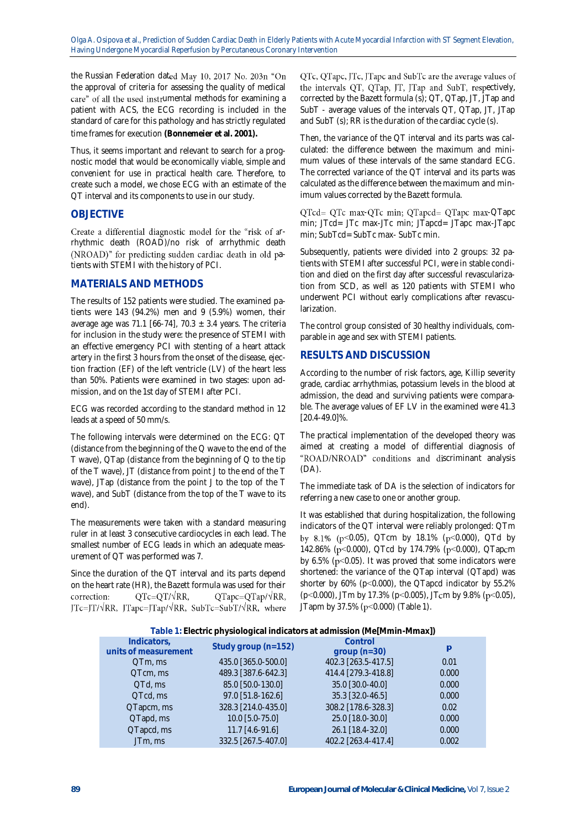the Russian Federation dated May 10, 2017 No. 203n "On the approval of criteria for assessing the quality of medical care" of all the used instrumental methods for examining a patient with ACS, the ECG recording is included in the standard of care for this pathology and has strictly regulated time frames for execution **(Bonnemeier et al. 2001).**

Thus, it seems important and relevant to search for a prognostic model that would be economically viable, simple and convenient for use in practical health care. Therefore, to create such a model, we chose ECG with an estimate of the QT interval and its components to use in our study.

# **OBJECTIVE**

Create a differential diagnostic model for the "risk of arrhythmic death (ROAD)/no risk of arrhythmic death (NROAD)" for predicting sudden cardiac death in old patients with STEMI with the history of PCI.

## **MATERIALS AND METHODS**

The results of 152 patients were studied. The examined patients were 143 (94.2%) men and 9 (5.9%) women, their average age was 71.1 [66-74], 70.3  $\pm$  3.4 years. The criteria for inclusion in the study were: the presence of STEMI with an effective emergency PCI with stenting of a heart attack artery in the first 3 hours from the onset of the disease, ejection fraction (EF) of the left ventricle (LV) of the heart less than 50%. Patients were examined in two stages: upon admission, and on the 1st day of STEMI after PCI.

ECG was recorded according to the standard method in 12 leads at a speed of 50 mm/s.

The following intervals were determined on the ECG: QT (distance from the beginning of the Q wave to the end of the T wave),  $Q$ Tap (distance from the beginning of  $Q$  to the tip of the T wave), JT (distance from point J to the end of the T wave), JTap (distance from the point J to the top of the T wave), and SubT (distance from the top of the T wave to its end).

The measurements were taken with a standard measuring ruler in at least 3 consecutive cardiocycles in each lead. The smallest number of ECG leads in which an adequate measurement of QT was performed was 7.

Since the duration of the QT interval and its parts depend on the heart rate (HR), the Bazett formula was used for their  $QTc = QT/\sqrt{RR}$ , correction:  $QTapc = QTap/\sqrt{RR}$ ,  $JTc=JT/\sqrt{RR}$ ,  $JTapc=JTap/\sqrt{RR}$ ,  $SubTc=SubT/\sqrt{RR}$ , where QTc, QTapc, JTc, JTapc and SubTc are the average values of the intervals QT, QTap, JT, JTap and SubT, respectively, corrected by the Bazett formula (s); QT, QTap, JT, JTap and SubT - average values of the intervals QT, QTap, JT, JTap and SubT (s); RR is the duration of the cardiac cycle (s).

Then, the variance of the QT interval and its parts was calculated: the difference between the maximum and minimum values of these intervals of the same standard ECG. The corrected variance of the QT interval and its parts was calculated as the difference between the maximum and minimum values corrected by the Bazett formula.

QTcd= QTc max-QTc min; QTapcd= QTapc max-QTapc min; JTcd= JTc max-JTc min; JTapcd= JTapc max-JTapc min; SubTcd= SubTc max- SubTc min.

Subsequently, patients were divided into 2 groups: 32 patients with STEMI after successful PCI, were in stable condition and died on the first day after successful revascularization from SCD, as well as 120 patients with STEMI who underwent PCI without early complications after revascularization.

The control group consisted of 30 healthy individuals, comparable in age and sex with STEMI patients.

# **RESULTS AND DISCUSSION**

According to the number of risk factors, age, Killip severity grade, cardiac arrhythmias, potassium levels in the blood at admission, the dead and surviving patients were comparable. The average values of EF LV in the examined were 41.3 [20.4-49.0]%.

The practical implementation of the developed theory was aimed at creating a model of differential diagnosis of "ROAD/NROAD" conditions and discriminant analysis (DA).

The immediate task of DA is the selection of indicators for referring a new case to one or another group.

It was established that during hospitalization, the following indicators of the QT interval were reliably prolonged: QTm by 8.1% ( $p$ <0.05), QTcm by 18.1% ( $p$ <0.000), QTd by 142.86% (p<0.000), QTcd by 174.79% (p<0.000), QTapcm by 6.5% ( $p$ <0.05). It was proved that some indicators were shortened: the variance of the QTap interval (QTapd) was shorter by 60% (p˂0.000), the QTapcd indicator by 55.2% (p<0.000), JTm by 17.3% (p<0.005), JTcm by 9.8% (p<0.05), JTapm by 37.5% (p<0.000) (Table 1).

**Table 1: Electric physiological indicators at admission (Me[Mmin-Mmax])**

|                                     | $\overline{\phantom{0}}$ |                          |       |
|-------------------------------------|--------------------------|--------------------------|-------|
| Indicators,<br>units of measurement | Study group (n=152)      | Control<br>$group(n=30)$ | p     |
| QTm, ms                             | 435.0 [365.0-500.0]      | 402.3 [263.5-417.5]      | 0.01  |
| QTcm, ms                            | 489.3 [387.6-642.3]      | 414.4 [279.3-418.8]      | 0.000 |
| QTd, ms                             | 85.0 [50.0-130.0]        | 35.0 [30.0-40.0]         | 0.000 |
| QTcd, ms                            | 97.0 [51.8-162.6]        | 35.3 [32.0-46.5]         | 0.000 |
| QTapcm, ms                          | 328.3 [214.0-435.0]      | 308.2 [178.6-328.3]      | 0.02  |
| QTapd, ms                           | $10.0$ [5.0-75.0]        | 25.0 [18.0-30.0]         | 0.000 |
| QTapcd, ms                          | $11.7$ $[4.6-91.6]$      | 26.1 [18.4-32.0]         | 0.000 |
| JTm, ms                             | 332.5 [267.5-407.0]      | 402.2 [263.4-417.4]      | 0.002 |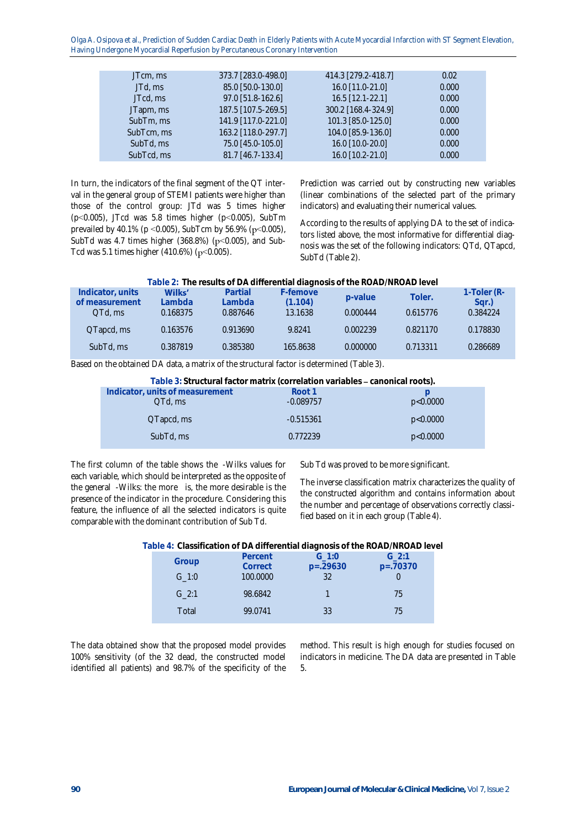Olga A. Osipova et al., Prediction of Sudden Cardiac Death in Elderly Patients with Acute Myocardial Infarction with ST Segment Elevation, Having Undergone Myocardial Reperfusion by Percutaneous Coronary Intervention

| JTcm, ms   | 373.7 [283.0-498.0] | 414.3 [279.2-418.7] | 0.02  |
|------------|---------------------|---------------------|-------|
| JTd, ms    | 85.0 [50.0-130.0]   | 16.0 [11.0-21.0]    | 0.000 |
| JTcd, ms   | 97.0 [51.8-162.6]   | $16.5$ [12.1-22.1]  | 0.000 |
| JTapm, ms  | 187.5 [107.5-269.5] | 300.2 [168.4-324.9] | 0.000 |
| SubTm, ms  | 141.9 [117.0-221.0] | 101.3 [85.0-125.0]  | 0.000 |
| SubTcm, ms | 163.2 [118.0-297.7] | 104.0 [85.9-136.0]  | 0.000 |
| SubTd, ms  | 75.0 [45.0-105.0]   | 16.0 [10.0-20.0]    | 0.000 |
| SubTcd, ms | 81.7 [46.7-133.4]   | 16.0 [10.2-21.0]    | 0.000 |

In turn, the indicators of the final segment of the QT interval in the general group of STEMI patients were higher than those of the control group: JTd was 5 times higher (p˂0.005), JTcd was 5.8 times higher (p˂0.005), SubTm prevailed by 40.1% (p < 0.005), SubTcm by 56.9% (p < 0.005), SubTd was 4.7 times higher (368.8%) ( $p$ <0.005), and Sub-Tcd was 5.1 times higher  $(410.6%) (p<0.005)$ .

Prediction was carried out by constructing new variables (linear combinations of the selected part of the primary indicators) and evaluating their numerical values.

According to the results of applying DA to the set of indicators listed above, the most informative for differential diagnosis was the set of the following indicators: QTd, QTapcd, SubTd (Table 2).

| Table 2: The results of DA differential diagnosis of the ROAD/NROAD level |
|---------------------------------------------------------------------------|
|---------------------------------------------------------------------------|

| Indicator, units<br>of measurement<br>QTd, ms | Wilks'<br>Lambda<br>0.168375 | Partial<br>Lambda<br>0.887646 | F-femove<br>(1.104)<br>13.1638 | p-value<br>0.000444 | Toler.<br>0.615776 | 1-Toler (R-<br>Sar.)<br>0.384224 |
|-----------------------------------------------|------------------------------|-------------------------------|--------------------------------|---------------------|--------------------|----------------------------------|
| QTapcd, ms                                    | 0.163576                     | 0.913690                      | 9.8241                         | 0.002239            | 0.821170           | 0.178830                         |
| SubTd, ms                                     | 0.387819                     | 0.385380                      | 165.8638                       | 0.000000            | 0.713311           | 0.286689                         |

Based on the obtained DA data, a matrix of the structural factor is determined (Table 3).

Table 3: Structural factor matrix (correlation variables - canonical roots).

| Indicator, units of measurement<br>QTd, ms | Root 1<br>$-0.089757$ | p<0.0000 |
|--------------------------------------------|-----------------------|----------|
| QTapcd, ms                                 | $-0.515361$           | p<0.0000 |
| SubTd, ms                                  | 0.772239              | p<0.0000 |

The first column of the table shows the -Wilks values for each variable, which should be interpreted as the opposite of the general -Wilks: the more is, the more desirable is the presence of the indicator in the procedure. Considering this feature, the influence of all the selected indicators is quite comparable with the dominant contribution of Sub Td.

Sub Td was proved to be more significant.

The inverse classification matrix characterizes the quality of the constructed algorithm and contains information about the number and percentage of observations correctly classified based on it in each group (Table 4).

| Table 4: Classification of DA differential diagnosis of the ROAD/NROAD level |  |
|------------------------------------------------------------------------------|--|
|------------------------------------------------------------------------------|--|

| Percent  | $G \; 1:0$ | $G$ 2:1<br>$p=.70370$ |
|----------|------------|-----------------------|
| 100,0000 | 32         |                       |
| 98.6842  |            | 75                    |
| 99.0741  | 33         | 75                    |
|          | Correct    | $p=.29630$            |

The data obtained show that the proposed model provides 100% sensitivity (of the 32 dead, the constructed model identified all patients) and 98.7% of the specificity of the

method. This result is high enough for studies focused on indicators in medicine. The DA data are presented in Table 5.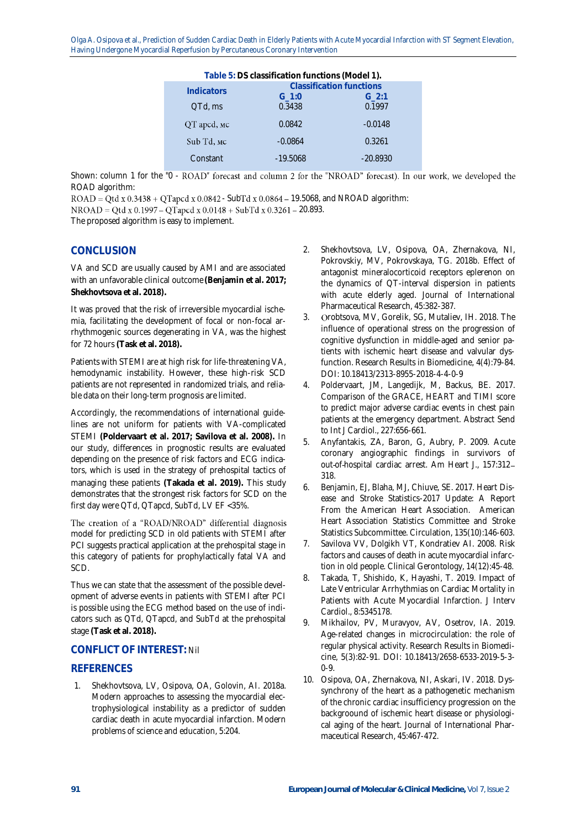Olga A. Osipova et al., Prediction of Sudden Cardiac Death in Elderly Patients with Acute Myocardial Infarction with ST Segment Elevation, Having Undergone Myocardial Reperfusion by Percutaneous Coronary Intervention

| Table 5: DS classification functions (Model 1). |                      |                                 |  |  |
|-------------------------------------------------|----------------------|---------------------------------|--|--|
| <b>Indicators</b>                               |                      | <b>Classification functions</b> |  |  |
| QTd, ms                                         | $G \; 1:0$<br>0.3438 | $G$ 2:1<br>0.1997               |  |  |
|                                                 |                      |                                 |  |  |
| QТ apcd, мс                                     | 0.0842               | $-0.0148$                       |  |  |
| Sub Td, мс                                      | $-0.0864$            | 0.3261                          |  |  |
| Constant                                        | $-19.5068$           | $-20.8930$                      |  |  |

Shown: column 1 for the "0 - ROAD" forecast and column 2 for the "NROAD" forecast). In our work, we developed the ROAD algorithm:

 $ROAD = Qtd x 0.3438 + QTapcd x 0.0842 - SubTd x 0.0864 - 19.5068$ , and NROAD algorithm:  $NROAD = Qtd x 0.1997 - QTapcd x 0.0148 + SubTd x 0.3261 - 20.893.$ 

The proposed algorithm is easy to implement.

## **CONCLUSION**

VA and SCD are usually caused by AMI and are associated with an unfavorable clinical outcome **(Benjamin et al. 2017; Shekhovtsova et al. 2018).**

It was proved that the risk of irreversible myocardial ischemia, facilitating the development of focal or non-focal arrhythmogenic sources degenerating in VA, was the highest for 72 hours **(Task et al. 2018).**

Patients with STEMI are at high risk for life-threatening VA, hemodynamic instability. However, these high-risk SCD patients are not represented in randomized trials, and reliable data on their long-term prognosis are limited.

Accordingly, the recommendations of international guidelines are not uniform for patients with VA-complicated STEMI **(Poldervaart et al. 2017; Savilova et al. 2008).** In our study, differences in prognostic results are evaluated depending on the presence of risk factors and ECG indicators, which is used in the strategy of prehospital tactics of managing these patients **(Takada et al. 2019).** This study demonstrates that the strongest risk factors for SCD on the first day were QTd, QTapcd, SubTd, LV EF <35%.

The creation of a "ROAD/NROAD" differential diagnosis model for predicting SCD in old patients with STEMI after PCI suggests practical application at the prehospital stage in this category of patients for prophylactically fatal VA and SCD.

Thus we can state that the assessment of the possible development of adverse events in patients with STEMI after PCI is possible using the ECG method based on the use of indicators such as QTd, QTapcd, and SubTd at the prehospital stage **(Task et al. 2018).**

## **CONFLICT OF INTEREST:** Nil

## **REFERENCES**

1. Shekhovtsova, LV, Osipova, OA, Golovin, AI. 2018a. Modern approaches to assessing the myocardial electrophysiological instability as a predictor of sudden cardiac death in acute myocardial infarction. Modern problems of science and education, 5:204.

- 2. Shekhovtsova, LV, Osipova, OA, Zhernakova, NI, Pokrovskiy, MV, Pokrovskaya, TG. 2018b. Effect of antagonist mineralocorticoid receptors eplerenon on the dynamics of QT-interval dispersion in patients with acute elderly aged. Journal of International Pharmaceutical Research, 45:382-387.
- 3. Orobtsova, MV, Gorelik, SG, Mutaliev, IH. 2018. The influence of operational stress on the progression of cognitive dysfunction in middle-aged and senior patients with ischemic heart disease and valvular dysfunction. Research Results in Biomedicine, 4(4):79-84. DOI: 10.18413/2313-8955-2018-4-4-0-9
- 4. Poldervaart, JM, Langedijk, M, Backus, BE. 2017. Comparison of the GRACE, HEART and TIMI score to predict major adverse cardiac events in chest pain patients at the emergency department. Abstract Send to Int J Cardiol., 227:656-661.
- 5. Anyfantakis, ZA, Baron, G, Aubry, P. 2009. Acute coronary angiographic findings in survivors of out-of-hospital cardiac arrest. Am Heart J., 157:312-318.
- 6. Benjamin, EJ, Blaha, MJ, Chiuve, SE. 2017. Heart Disease and Stroke Statistics-2017 Update: A Report From the American Heart Association. American Heart Association Statistics Committee and Stroke Statistics Subcommittee. Circulation, 135(10):146-603.
- 7. Savilova VV, Dolgikh VT, Kondratiev AI. 2008. Risk factors and causes of death in acute myocardial infarction in old people. Clinical Gerontology, 14(12):45-48.
- 8. Takada, T, Shishido, K, Hayashi, T. 2019. Impact of Late Ventricular Arrhythmias on Cardiac Mortality in Patients with Acute Myocardial Infarction. J Interv Cardiol., 8:5345178.
- 9. Mikhailov, PV, Muravyov, AV, Osetrov, IA. 2019. Age-related changes in microcirculation: the role of regular physical activity. Research Results in Biomedicine, 5(3):82-91. DOI: 10.18413/2658-6533-2019-5-3- 0-9.
- 10. Osipova, OA, Zhernakova, NI, Askari, IV. 2018. Dyssynchrony of the heart as a pathogenetic mechanism of the chronic cardiac insufficiency progression on the backgroound of ischemic heart disease or physiological aging of the heart. Journal of International Pharmaceutical Research, 45:467-472.